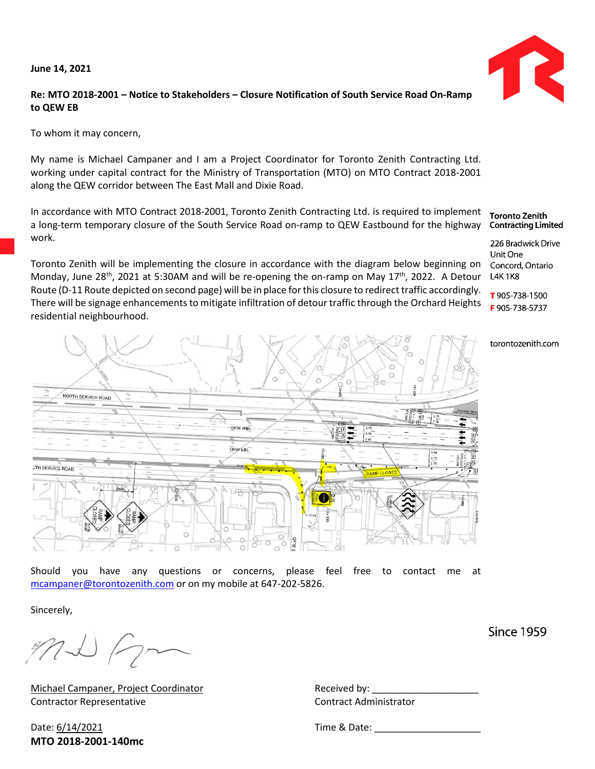**June 14, 2021**



## **Re: MTO 2018-2001 – Notice to Stakeholders – Closure Notification of South Service Road On-Ramp to QEW EB**

To whom it may concern,

My name is Michael Campaner and I am a Project Coordinator for Toronto Zenith Contracting Ltd. working under capital contract for the Ministry of Transportation (MTO) on MTO Contract 2018-2001 along the QEW corridor between The East Mall and Dixie Road.

In accordance with MTO Contract 2018-2001, Toronto Zenith Contracting Ltd. is required to implement a long-term temporary closure of the South Service Road on-ramp to QEW Eastbound for the highway work.

Toronto Zenith will be implementing the closure in accordance with the diagram below beginning on Monday, June 28<sup>th</sup>, 2021 at 5:30AM and will be re-opening the on-ramp on May 17<sup>th</sup>, 2022. A Detour Route (D-11 Route depicted on second page) will be in place for this closure to redirect traffic accordingly. There will be signage enhancements to mitigate infiltration of detour traffic through the Orchard Heights residential neighbourhood.

NORTH SERVICE ROAD OEW WRI **QEWEBI** UTH SERVICE ROAD

Should you have any questions or concerns, please feel free to contact me at [mcampaner@torontozenith.com](mailto:mcampaner@torontozenith.com) or on my mobile at 647-202-5826.

Sincerely,

MI Fra

Michael Campaner, Project Coordinator Fig. 2014 Received by: Contractor Representative Contract Administrator

Date: 6/14/2021 **Time & Date: MTO 2018-2001-140mc**

**Toronto Zenith Contracting Limited** 

226 Bradwick Drive Unit One Concord, Ontario **L4K1K8** 

T 905 738-1500 F905-738-5737

torontozenith.com

**Since 1959**